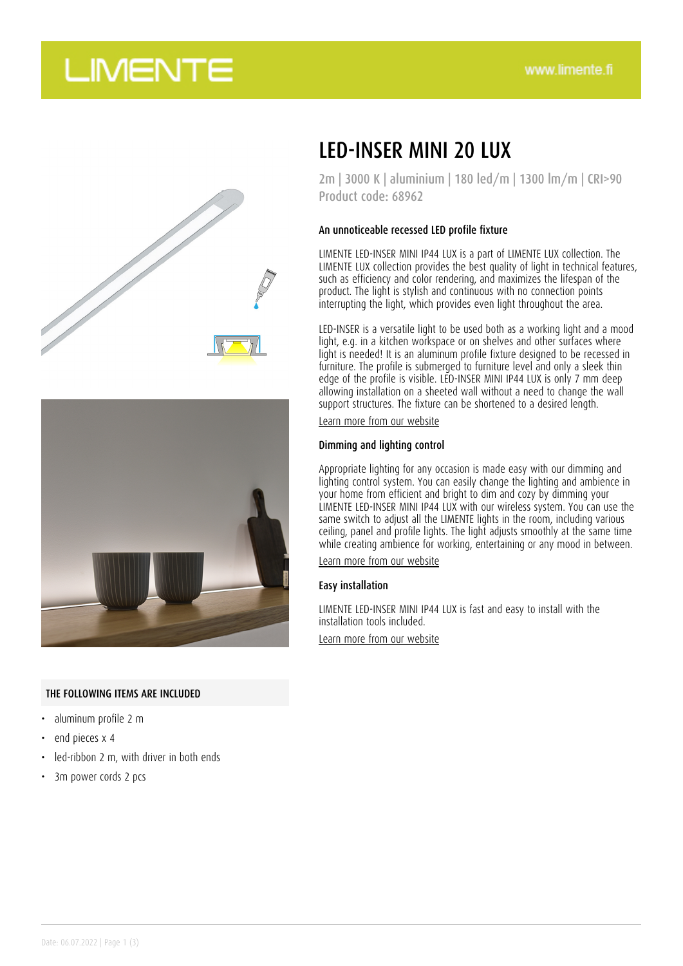# **LIMENTE**





### THE FOLLOWING ITEMS ARE INCLUDED

- aluminum profile 2 m
- end pieces x 4
- led-ribbon 2 m, with driver in both ends
- 3m power cords 2 pcs

## LED-INSER MINI 20 LUX

2m | 3000 K | aluminium | 180 led/m | 1300 lm/m | CRI>90 Product code: 68962

#### An unnoticeable recessed LED profile fixture

LIMENTE LED-INSER MINI IP44 LUX is a part of LIMENTE LUX collection. The LIMENTE LUX collection provides the best quality of light in technical features, such as efficiency and color rendering, and maximizes the lifespan of the product. The light is stylish and continuous with no connection points interrupting the light, which provides even light throughout the area.

LED-INSER is a versatile light to be used both as a working light and a mood light, e.g. in a kitchen workspace or on shelves and other surfaces where light is needed! It is an aluminum profile fixture designed to be recessed in furniture. The profile is submerged to furniture level and only a sleek thin edge of the profile is visible. LED-INSER MINI IP44 LUX is only 7 mm deep allowing installation on a sheeted wall without a need to change the wall support structures. The fixture can be shortened to a desired length.

[Learn more from our website](https://www.limente.fi/tuotteet/68962)

#### Dimming and lighting control

Appropriate lighting for any occasion is made easy with our dimming and lighting control system. You can easily change the lighting and ambience in your home from efficient and bright to dim and cozy by dimming your LIMENTE LED-INSER MINI IP44 LUX with our wireless system. You can use the same switch to adjust all the LIMENTE lights in the room, including various ceiling, panel and profile lights. The light adjusts smoothly at the same time while creating ambience for working, entertaining or any mood in between.

[Learn more from our website](https://www.limente.fi/tuotteet/68962)

#### Easy installation

LIMENTE LED-INSER MINI IP44 LUX is fast and easy to install with the installation tools included. [Learn more from our website](https://www.limente.fi/tuotteet/68962)

Date: 06.07.2022 | Page 1 (3)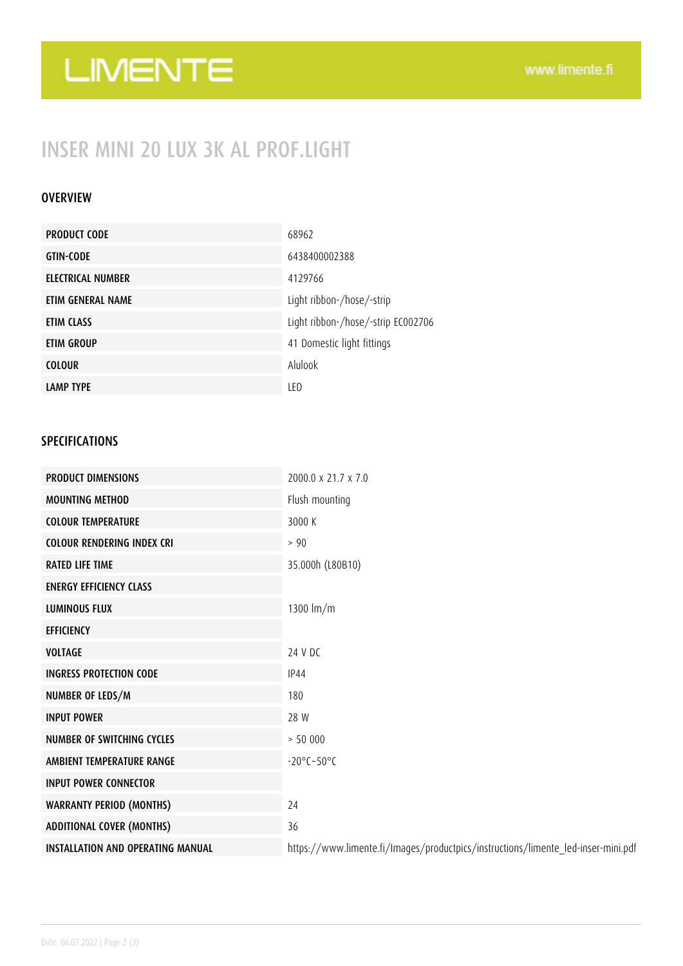# LIMENTE

## INSER MINI 20 LUX 3K AL PROF.LIGHT

### **OVERVIEW**

| <b>PRODUCT CODE</b> | 68962                              |
|---------------------|------------------------------------|
| <b>GTIN-CODE</b>    | 6438400002388                      |
| ELECTRICAL NUMBER   | 4129766                            |
| ETIM GENERAL NAME   | Light ribbon-/hose/-strip          |
| ETIM CLASS          | Light ribbon-/hose/-strip EC002706 |
| ETIM GROUP          | 41 Domestic light fittings         |
| <b>COLOUR</b>       | Alulook                            |
| <b>LAMP TYPE</b>    | LED                                |

### SPECIFICATIONS

| <b>PRODUCT DIMENSIONS</b>                | 2000.0 x 21.7 x 7.0                                                               |
|------------------------------------------|-----------------------------------------------------------------------------------|
| <b>MOUNTING METHOD</b>                   | Flush mounting                                                                    |
| <b>COLOUR TEMPERATURE</b>                | 3000 K                                                                            |
| <b>COLOUR RENDERING INDEX CRI</b>        | > 90                                                                              |
| <b>RATED LIFE TIME</b>                   | 35.000h (L80B10)                                                                  |
| <b>ENERGY EFFICIENCY CLASS</b>           |                                                                                   |
| <b>LUMINOUS FLUX</b>                     | 1300 $Im/m$                                                                       |
| <b>EFFICIENCY</b>                        |                                                                                   |
| <b>VOLTAGE</b>                           | 24 V DC                                                                           |
| <b>INGRESS PROTECTION CODE</b>           | <b>IP44</b>                                                                       |
| NUMBER OF LEDS/M                         | 180                                                                               |
| <b>INPUT POWER</b>                       | 28 W                                                                              |
| <b>NUMBER OF SWITCHING CYCLES</b>        | > 50000                                                                           |
| AMBIENT TEMPERATURE RANGE                | $-20^{\circ}$ C $-50^{\circ}$ C                                                   |
| <b>INPUT POWER CONNECTOR</b>             |                                                                                   |
| <b>WARRANTY PERIOD (MONTHS)</b>          | 24                                                                                |
| <b>ADDITIONAL COVER (MONTHS)</b>         | 36                                                                                |
| <b>INSTALLATION AND OPERATING MANUAL</b> | https://www.limente.fi/Images/productpics/instructions/limente_led-inser-mini.pdf |